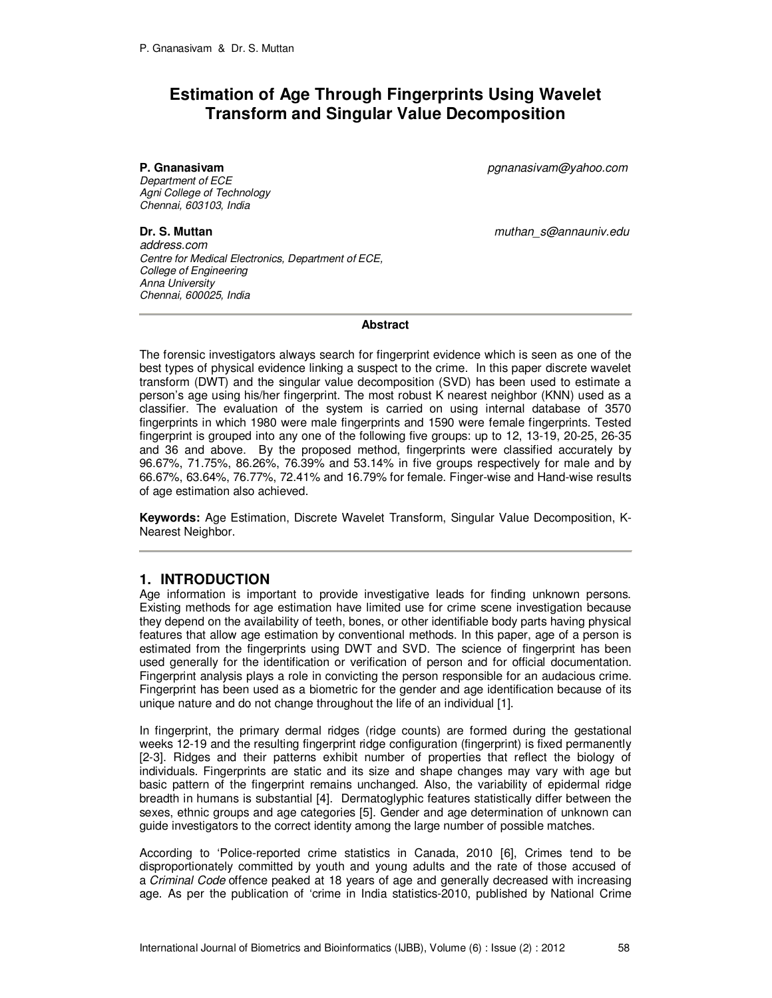# **Estimation of Age Through Fingerprints Using Wavelet Transform and Singular Value Decomposition**

Department of ECE Agni College of Technology Chennai, 603103, India

**P. Gnanasivam** pgnanasivam@yahoo.com

**Dr. S. Muttan Dr. S. Muttan muthan** switch *muthan* s@annauniv.edu

address.com Centre for Medical Electronics, Department of ECE, College of Engineering Anna University Chennai, 600025, India

**Abstract** 

The forensic investigators always search for fingerprint evidence which is seen as one of the best types of physical evidence linking a suspect to the crime. In this paper discrete wavelet transform (DWT) and the singular value decomposition (SVD) has been used to estimate a person's age using his/her fingerprint. The most robust K nearest neighbor (KNN) used as a classifier. The evaluation of the system is carried on using internal database of 3570 fingerprints in which 1980 were male fingerprints and 1590 were female fingerprints. Tested fingerprint is grouped into any one of the following five groups: up to 12, 13-19, 20-25, 26-35 and 36 and above. By the proposed method, fingerprints were classified accurately by 96.67%, 71.75%, 86.26%, 76.39% and 53.14% in five groups respectively for male and by 66.67%, 63.64%, 76.77%, 72.41% and 16.79% for female. Finger-wise and Hand-wise results of age estimation also achieved.

**Keywords:** Age Estimation, Discrete Wavelet Transform, Singular Value Decomposition, K-Nearest Neighbor.

# **1. INTRODUCTION**

Age information is important to provide investigative leads for finding unknown persons. Existing methods for age estimation have limited use for crime scene investigation because they depend on the availability of teeth, bones, or other identifiable body parts having physical features that allow age estimation by conventional methods. In this paper, age of a person is estimated from the fingerprints using DWT and SVD. The science of fingerprint has been used generally for the identification or verification of person and for official documentation. Fingerprint analysis plays a role in convicting the person responsible for an audacious crime. Fingerprint has been used as a biometric for the gender and age identification because of its unique nature and do not change throughout the life of an individual [1].

In fingerprint, the primary dermal ridges (ridge counts) are formed during the gestational weeks 12-19 and the resulting fingerprint ridge configuration (fingerprint) is fixed permanently [2-3]. Ridges and their patterns exhibit number of properties that reflect the biology of individuals. Fingerprints are static and its size and shape changes may vary with age but basic pattern of the fingerprint remains unchanged. Also, the variability of epidermal ridge breadth in humans is substantial [4]. Dermatoglyphic features statistically differ between the sexes, ethnic groups and age categories [5]. Gender and age determination of unknown can guide investigators to the correct identity among the large number of possible matches.

According to 'Police-reported crime statistics in Canada, 2010 [6], Crimes tend to be disproportionately committed by youth and young adults and the rate of those accused of a Criminal Code offence peaked at 18 years of age and generally decreased with increasing age. As per the publication of 'crime in India statistics-2010, published by National Crime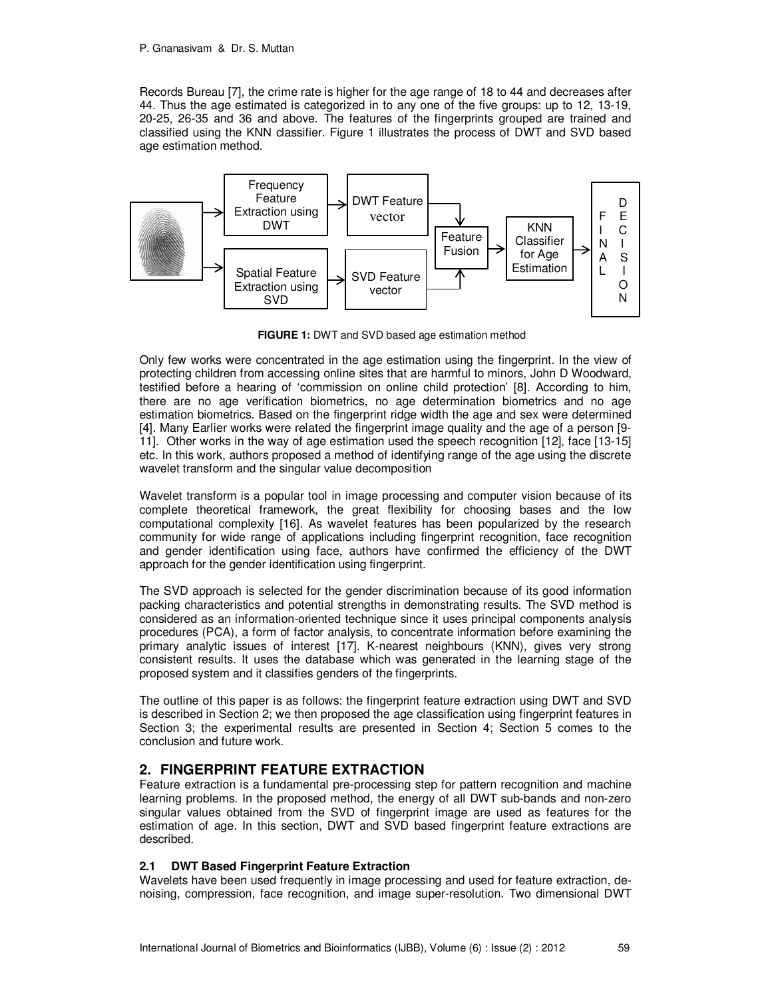Records Bureau [7], the crime rate is higher for the age range of 18 to 44 and decreases after 44. Thus the age estimated is categorized in to any one of the five groups: up to 12, 13-19, 20-25, 26-35 and 36 and above. The features of the fingerprints grouped are trained and classified using the KNN classifier. Figure 1 illustrates the process of DWT and SVD based age estimation method.



**FIGURE 1:** DWT and SVD based age estimation method

Only few works were concentrated in the age estimation using the fingerprint. In the view of protecting children from accessing online sites that are harmful to minors, John D Woodward, testified before a hearing of 'commission on online child protection' [8]. According to him, there are no age verification biometrics, no age determination biometrics and no age estimation biometrics. Based on the fingerprint ridge width the age and sex were determined [4]. Many Earlier works were related the fingerprint image quality and the age of a person [9- 11]. Other works in the way of age estimation used the speech recognition [12], face [13-15] etc. In this work, authors proposed a method of identifying range of the age using the discrete wavelet transform and the singular value decomposition

Wavelet transform is a popular tool in image processing and computer vision because of its complete theoretical framework, the great flexibility for choosing bases and the low computational complexity [16]. As wavelet features has been popularized by the research community for wide range of applications including fingerprint recognition, face recognition and gender identification using face, authors have confirmed the efficiency of the DWT approach for the gender identification using fingerprint.

The SVD approach is selected for the gender discrimination because of its good information packing characteristics and potential strengths in demonstrating results. The SVD method is considered as an information-oriented technique since it uses principal components analysis procedures (PCA), a form of factor analysis, to concentrate information before examining the primary analytic issues of interest [17]. K-nearest neighbours (KNN), gives very strong consistent results. It uses the database which was generated in the learning stage of the proposed system and it classifies genders of the fingerprints.

The outline of this paper is as follows: the fingerprint feature extraction using DWT and SVD is described in Section 2; we then proposed the age classification using fingerprint features in Section 3; the experimental results are presented in Section 4; Section 5 comes to the conclusion and future work.

# **2. FINGERPRINT FEATURE EXTRACTION**

Feature extraction is a fundamental pre-processing step for pattern recognition and machine learning problems. In the proposed method, the energy of all DWT sub-bands and non-zero singular values obtained from the SVD of fingerprint image are used as features for the estimation of age. In this section, DWT and SVD based fingerprint feature extractions are described.

#### **2.1 DWT Based Fingerprint Feature Extraction**

Wavelets have been used frequently in image processing and used for feature extraction, denoising, compression, face recognition, and image super-resolution. Two dimensional DWT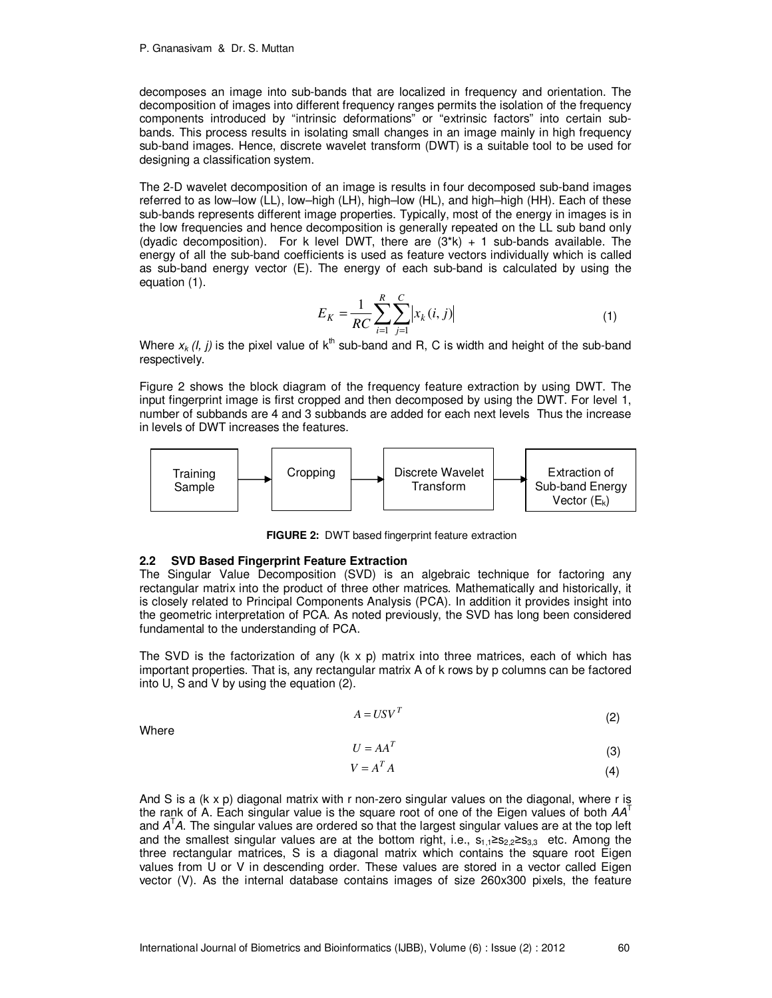decomposes an image into sub-bands that are localized in frequency and orientation. The decomposition of images into different frequency ranges permits the isolation of the frequency components introduced by "intrinsic deformations" or "extrinsic factors" into certain subbands. This process results in isolating small changes in an image mainly in high frequency sub-band images. Hence, discrete wavelet transform (DWT) is a suitable tool to be used for designing a classification system.

The 2-D wavelet decomposition of an image is results in four decomposed sub-band images referred to as low–low (LL), low–high (LH), high–low (HL), and high–high (HH). Each of these sub-bands represents different image properties. Typically, most of the energy in images is in the low frequencies and hence decomposition is generally repeated on the LL sub band only (dyadic decomposition). For k level DWT, there are  $(3^*k) + 1$  sub-bands available. The energy of all the sub-band coefficients is used as feature vectors individually which is called as sub-band energy vector (E). The energy of each sub-band is calculated by using the equation (1).

$$
E_K = \frac{1}{RC} \sum_{i=1}^{R} \sum_{j=1}^{C} |x_k(i, j)|
$$
 (1)

Where  $x_k$  (*l*, *j*) is the pixel value of  $k^{th}$  sub-band and R, C is width and height of the sub-band respectively.

Figure 2 shows the block diagram of the frequency feature extraction by using DWT. The input fingerprint image is first cropped and then decomposed by using the DWT. For level 1, number of subbands are 4 and 3 subbands are added for each next levels Thus the increase in levels of DWT increases the features.



**FIGURE 2:** DWT based fingerprint feature extraction

#### **2.2 SVD Based Fingerprint Feature Extraction**

The Singular Value Decomposition (SVD) is an algebraic technique for factoring any rectangular matrix into the product of three other matrices. Mathematically and historically, it is closely related to Principal Components Analysis (PCA). In addition it provides insight into the geometric interpretation of PCA. As noted previously, the SVD has long been considered fundamental to the understanding of PCA.

The SVD is the factorization of any  $(k \times p)$  matrix into three matrices, each of which has important properties. That is, any rectangular matrix A of k rows by p columns can be factored into U, S and V by using the equation (2).

$$
A = USV^T \tag{2}
$$

Where

$$
U = AA^T \tag{3}
$$

$$
V = A^T A \tag{4}
$$

And S is a (k x p) diagonal matrix with r non-zero singular values on the diagonal, where r is the rank of A. Each singular value is the square root of one of the Eigen values of both  $AA<sup>T</sup>$ and  $A<sup>T</sup>A$ . The singular values are ordered so that the largest singular values are at the top left and the smallest singular values are at the bottom right, i.e.,  $s_{1,1} \ge s_{2,2} \ge s_{3,3}$  etc. Among the three rectangular matrices, S is a diagonal matrix which contains the square root Eigen values from U or V in descending order. These values are stored in a vector called Eigen vector (V). As the internal database contains images of size 260x300 pixels, the feature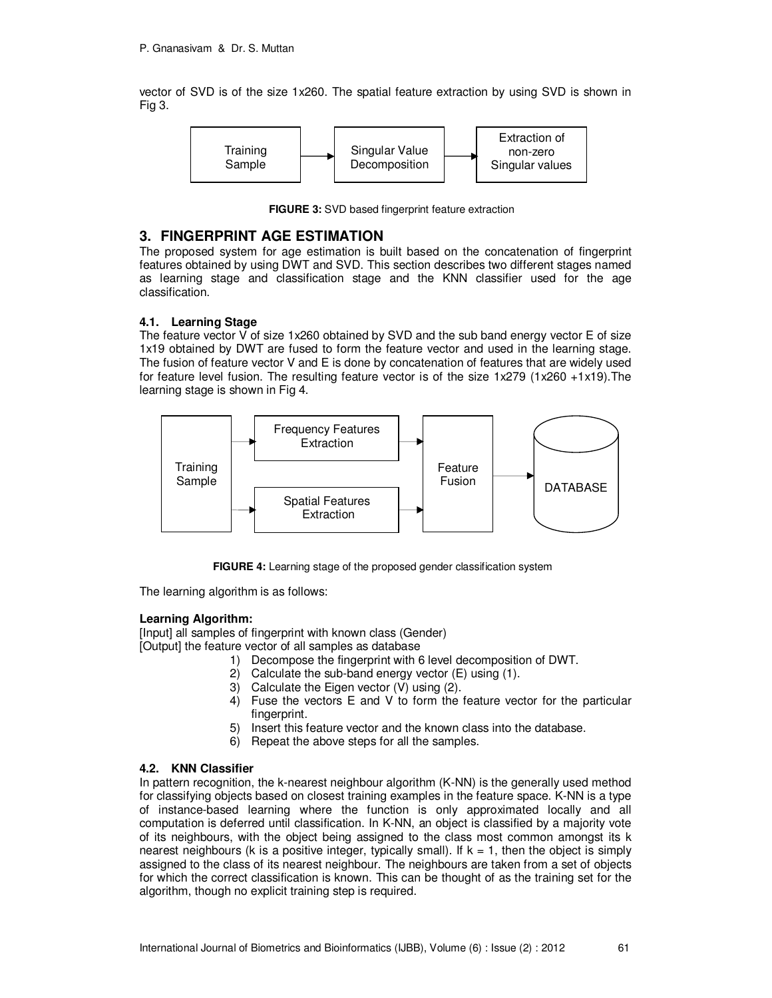vector of SVD is of the size 1x260. The spatial feature extraction by using SVD is shown in Fig 3.



**FIGURE 3:** SVD based fingerprint feature extraction

#### **3. FINGERPRINT AGE ESTIMATION**

The proposed system for age estimation is built based on the concatenation of fingerprint features obtained by using DWT and SVD. This section describes two different stages named as learning stage and classification stage and the KNN classifier used for the age classification.

#### **4.1. Learning Stage**

The feature vector V of size 1x260 obtained by SVD and the sub band energy vector E of size 1x19 obtained by DWT are fused to form the feature vector and used in the learning stage. The fusion of feature vector V and E is done by concatenation of features that are widely used for feature level fusion. The resulting feature vector is of the size 1x279 (1x260 +1x19).The learning stage is shown in Fig 4.



**FIGURE 4:** Learning stage of the proposed gender classification system

The learning algorithm is as follows:

#### **Learning Algorithm:**

[Input] all samples of fingerprint with known class (Gender) [Output] the feature vector of all samples as database

- 1) Decompose the fingerprint with 6 level decomposition of DWT.
	- 2) Calculate the sub-band energy vector (E) using (1).
- 3) Calculate the Eigen vector (V) using (2).
- 4) Fuse the vectors E and V to form the feature vector for the particular fingerprint.
- 5) Insert this feature vector and the known class into the database.
- 6) Repeat the above steps for all the samples.

#### **4.2. KNN Classifier**

In pattern recognition, the k-nearest neighbour algorithm (K-NN) is the generally used method for classifying objects based on closest training examples in the feature space. K-NN is a type of instance-based learning where the function is only approximated locally and all computation is deferred until classification. In K-NN, an object is classified by a majority vote of its neighbours, with the object being assigned to the class most common amongst its k nearest neighbours (k is a positive integer, typically small). If  $k = 1$ , then the object is simply assigned to the class of its nearest neighbour. The neighbours are taken from a set of objects for which the correct classification is known. This can be thought of as the training set for the algorithm, though no explicit training step is required.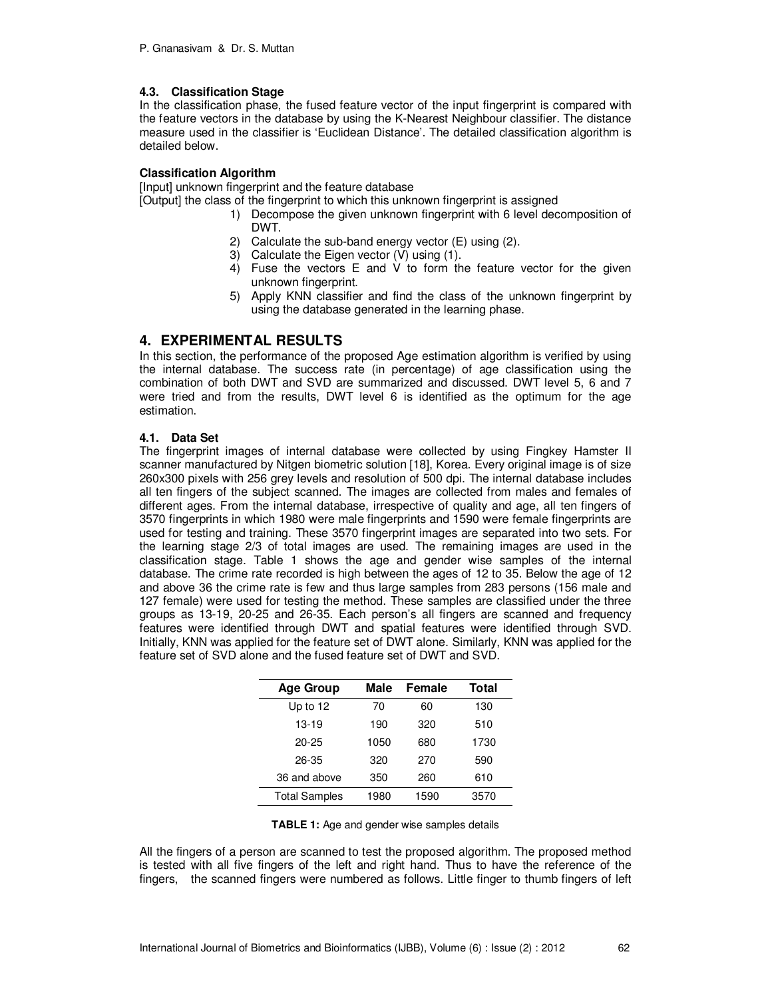#### **4.3. Classification Stage**

In the classification phase, the fused feature vector of the input fingerprint is compared with the feature vectors in the database by using the K-Nearest Neighbour classifier. The distance measure used in the classifier is 'Euclidean Distance'. The detailed classification algorithm is detailed below.

#### **Classification Algorithm**

[Input] unknown fingerprint and the feature database

[Output] the class of the fingerprint to which this unknown fingerprint is assigned

- 1) Decompose the given unknown fingerprint with 6 level decomposition of DWT.
- 2) Calculate the sub-band energy vector (E) using (2).
- 3) Calculate the Eigen vector (V) using (1).
- 4) Fuse the vectors E and V to form the feature vector for the given unknown fingerprint.
- 5) Apply KNN classifier and find the class of the unknown fingerprint by using the database generated in the learning phase.

# **4. EXPERIMENTAL RESULTS**

In this section, the performance of the proposed Age estimation algorithm is verified by using the internal database. The success rate (in percentage) of age classification using the combination of both DWT and SVD are summarized and discussed. DWT level 5, 6 and 7 were tried and from the results, DWT level 6 is identified as the optimum for the age estimation.

#### **4.1. Data Set**

The fingerprint images of internal database were collected by using Fingkey Hamster II scanner manufactured by Nitgen biometric solution [18], Korea. Every original image is of size 260x300 pixels with 256 grey levels and resolution of 500 dpi. The internal database includes all ten fingers of the subject scanned. The images are collected from males and females of different ages. From the internal database, irrespective of quality and age, all ten fingers of 3570 fingerprints in which 1980 were male fingerprints and 1590 were female fingerprints are used for testing and training. These 3570 fingerprint images are separated into two sets. For the learning stage 2/3 of total images are used. The remaining images are used in the classification stage. Table 1 shows the age and gender wise samples of the internal database. The crime rate recorded is high between the ages of 12 to 35. Below the age of 12 and above 36 the crime rate is few and thus large samples from 283 persons (156 male and 127 female) were used for testing the method. These samples are classified under the three groups as 13-19, 20-25 and 26-35. Each person's all fingers are scanned and frequency features were identified through DWT and spatial features were identified through SVD. Initially, KNN was applied for the feature set of DWT alone. Similarly, KNN was applied for the feature set of SVD alone and the fused feature set of DWT and SVD.

| <b>Age Group</b>     | Male | Female | Total |
|----------------------|------|--------|-------|
| Up to 12             | 70   | 60     | 130   |
| $13-19$              | 190  | 320    | 510   |
| $20 - 25$            | 1050 | 680    | 1730  |
| 26-35                | 320  | 270    | 590   |
| 36 and above         | 350  | 260    | 610   |
| <b>Total Samples</b> | 1980 | 1590   | 3570  |

| <b>TABLE 1:</b> Age and gender wise samples details |  |  |
|-----------------------------------------------------|--|--|
|-----------------------------------------------------|--|--|

All the fingers of a person are scanned to test the proposed algorithm. The proposed method is tested with all five fingers of the left and right hand. Thus to have the reference of the fingers, the scanned fingers were numbered as follows. Little finger to thumb fingers of left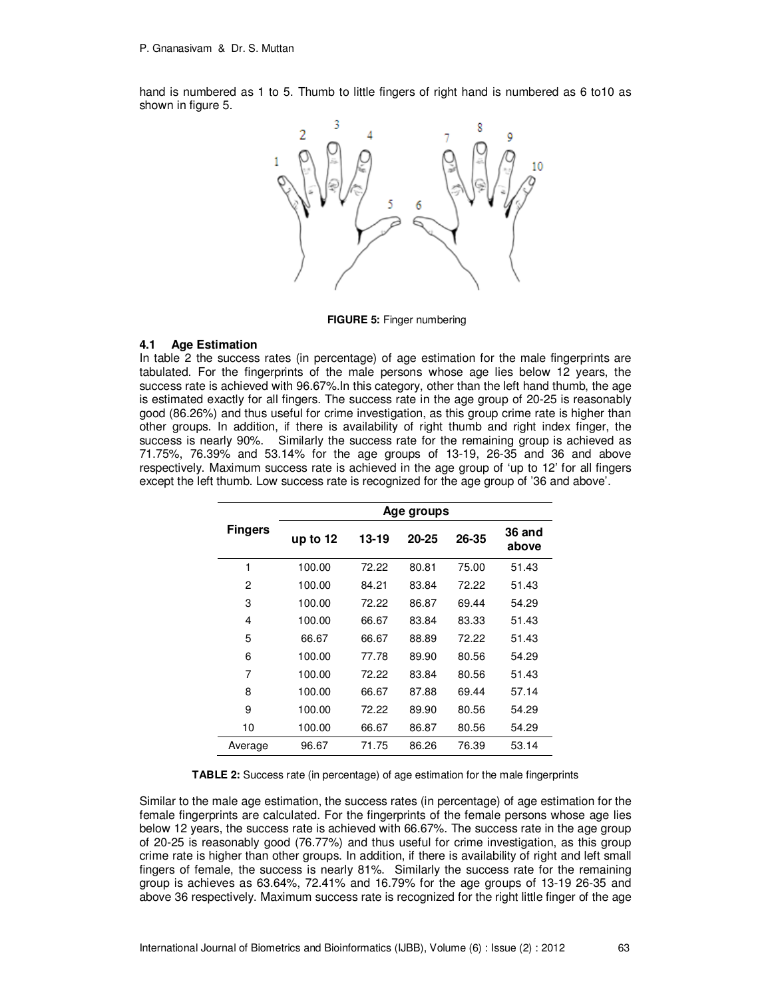hand is numbered as 1 to 5. Thumb to little fingers of right hand is numbered as 6 to10 as shown in figure 5.



**FIGURE 5:** Finger numbering

#### **4.1 Age Estimation**

In table 2 the success rates (in percentage) of age estimation for the male fingerprints are tabulated. For the fingerprints of the male persons whose age lies below 12 years, the success rate is achieved with 96.67%. In this category, other than the left hand thumb, the age is estimated exactly for all fingers. The success rate in the age group of 20-25 is reasonably good (86.26%) and thus useful for crime investigation, as this group crime rate is higher than other groups. In addition, if there is availability of right thumb and right index finger, the success is nearly 90%. Similarly the success rate for the remaining group is achieved as 71.75%, 76.39% and 53.14% for the age groups of 13-19, 26-35 and 36 and above respectively. Maximum success rate is achieved in the age group of 'up to 12' for all fingers except the left thumb. Low success rate is recognized for the age group of '36 and above'.

|                | Age groups |       |       |       |                 |
|----------------|------------|-------|-------|-------|-----------------|
| <b>Fingers</b> | up to 12   | 13-19 | 20-25 | 26-35 | 36 and<br>above |
| 1              | 100.00     | 72.22 | 80.81 | 75.00 | 51.43           |
| 2              | 100.00     | 84.21 | 83.84 | 72.22 | 51.43           |
| 3              | 100.00     | 72.22 | 86.87 | 69.44 | 54.29           |
| 4              | 100.00     | 66.67 | 83.84 | 83.33 | 51.43           |
| 5              | 66.67      | 66.67 | 88.89 | 72.22 | 51.43           |
| 6              | 100.00     | 77.78 | 89.90 | 80.56 | 54.29           |
| 7              | 100.00     | 72.22 | 83.84 | 80.56 | 51.43           |
| 8              | 100.00     | 66.67 | 87.88 | 69.44 | 57.14           |
| 9              | 100.00     | 72.22 | 89.90 | 80.56 | 54.29           |
| 10             | 100.00     | 66.67 | 86.87 | 80.56 | 54.29           |
| Average        | 96.67      | 71.75 | 86.26 | 76.39 | 53.14           |

**TABLE 2:** Success rate (in percentage) of age estimation for the male fingerprints

Similar to the male age estimation, the success rates (in percentage) of age estimation for the female fingerprints are calculated. For the fingerprints of the female persons whose age lies below 12 years, the success rate is achieved with 66.67%. The success rate in the age group of 20-25 is reasonably good (76.77%) and thus useful for crime investigation, as this group crime rate is higher than other groups. In addition, if there is availability of right and left small fingers of female, the success is nearly 81%. Similarly the success rate for the remaining group is achieves as 63.64%, 72.41% and 16.79% for the age groups of 13-19 26-35 and above 36 respectively. Maximum success rate is recognized for the right little finger of the age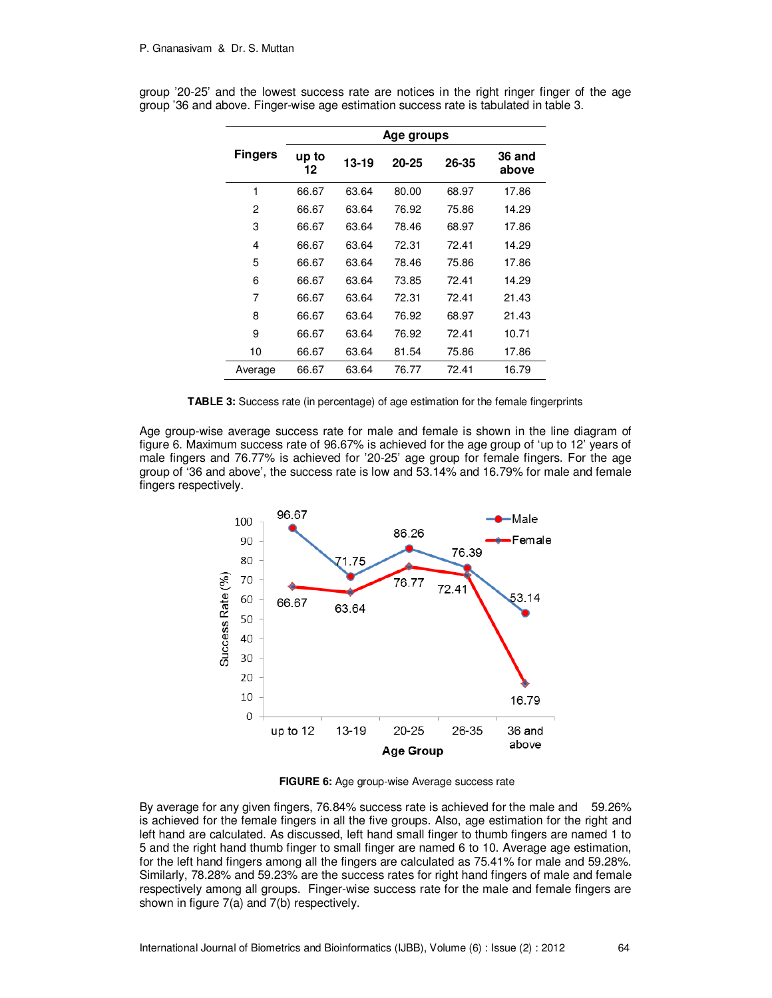|                | Age groups  |       |       |       |                 |  |
|----------------|-------------|-------|-------|-------|-----------------|--|
| <b>Fingers</b> | up to<br>12 | 13-19 | 20-25 | 26-35 | 36 and<br>above |  |
| 1              | 66.67       | 63.64 | 80.00 | 68.97 | 17.86           |  |
| 2              | 66.67       | 63.64 | 76.92 | 75.86 | 14.29           |  |
| 3              | 66.67       | 63.64 | 78.46 | 68.97 | 17.86           |  |
| 4              | 66.67       | 63.64 | 72.31 | 72.41 | 14.29           |  |
| 5              | 66.67       | 63.64 | 78.46 | 75.86 | 17.86           |  |
| 6              | 66.67       | 63.64 | 73.85 | 72.41 | 14.29           |  |
| 7              | 66.67       | 63.64 | 72.31 | 72.41 | 21.43           |  |
| 8              | 66.67       | 63.64 | 76.92 | 68.97 | 21.43           |  |
| 9              | 66.67       | 63.64 | 76.92 | 72.41 | 10.71           |  |
| 10             | 66.67       | 63.64 | 81.54 | 75.86 | 17.86           |  |
| Average        | 66.67       | 63.64 | 76.77 | 72.41 | 16.79           |  |

group '20-25' and the lowest success rate are notices in the right ringer finger of the age group '36 and above. Finger-wise age estimation success rate is tabulated in table 3.

**TABLE 3:** Success rate (in percentage) of age estimation for the female fingerprints

Age group-wise average success rate for male and female is shown in the line diagram of figure 6. Maximum success rate of 96.67% is achieved for the age group of 'up to 12' years of male fingers and 76.77% is achieved for '20-25' age group for female fingers. For the age group of '36 and above', the success rate is low and 53.14% and 16.79% for male and female fingers respectively.



**FIGURE 6:** Age group-wise Average success rate

By average for any given fingers, 76.84% success rate is achieved for the male and 59.26% is achieved for the female fingers in all the five groups. Also, age estimation for the right and left hand are calculated. As discussed, left hand small finger to thumb fingers are named 1 to 5 and the right hand thumb finger to small finger are named 6 to 10. Average age estimation, for the left hand fingers among all the fingers are calculated as 75.41% for male and 59.28%. Similarly, 78.28% and 59.23% are the success rates for right hand fingers of male and female respectively among all groups. Finger-wise success rate for the male and female fingers are shown in figure 7(a) and 7(b) respectively.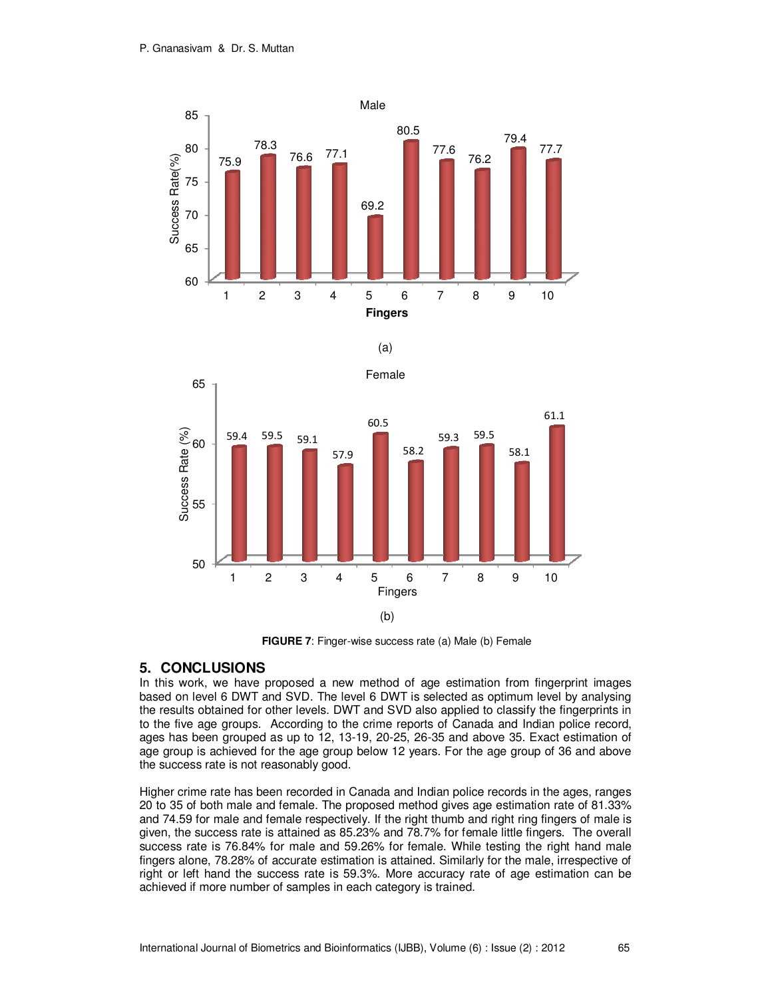





**FIGURE 7:** Finger-wise success rate (a) Male (b) Female

# **5. CONCLUSIONS**

In this work, we have proposed a new method of age estimation from fingerprint images based on level 6 DWT and SVD. The level 6 DWT is selected as optimum level by analysing the results obtained for other levels. DWT and SVD also applied to classify the fingerprints in to the five age groups. According to the crime reports of Canada and Indian police record, ages has been grouped as up to 12, 13-19, 20-25, 26-35 and above 35. Exact estimation of age group is achieved for the age group below 12 years. For the age group of 36 and above the success rate is not reasonably good.

Higher crime rate has been recorded in Canada and Indian police records in the ages, ranges 20 to 35 of both male and female. The proposed method gives age estimation rate of 81.33% and 74.59 for male and female respectively. If the right thumb and right ring fingers of male is given, the success rate is attained as 85.23% and 78.7% for female little fingers. The overall success rate is 76.84% for male and 59.26% for female. While testing the right hand male fingers alone, 78.28% of accurate estimation is attained. Similarly for the male, irrespective of right or left hand the success rate is 59.3%. More accuracy rate of age estimation can be achieved if more number of samples in each category is trained.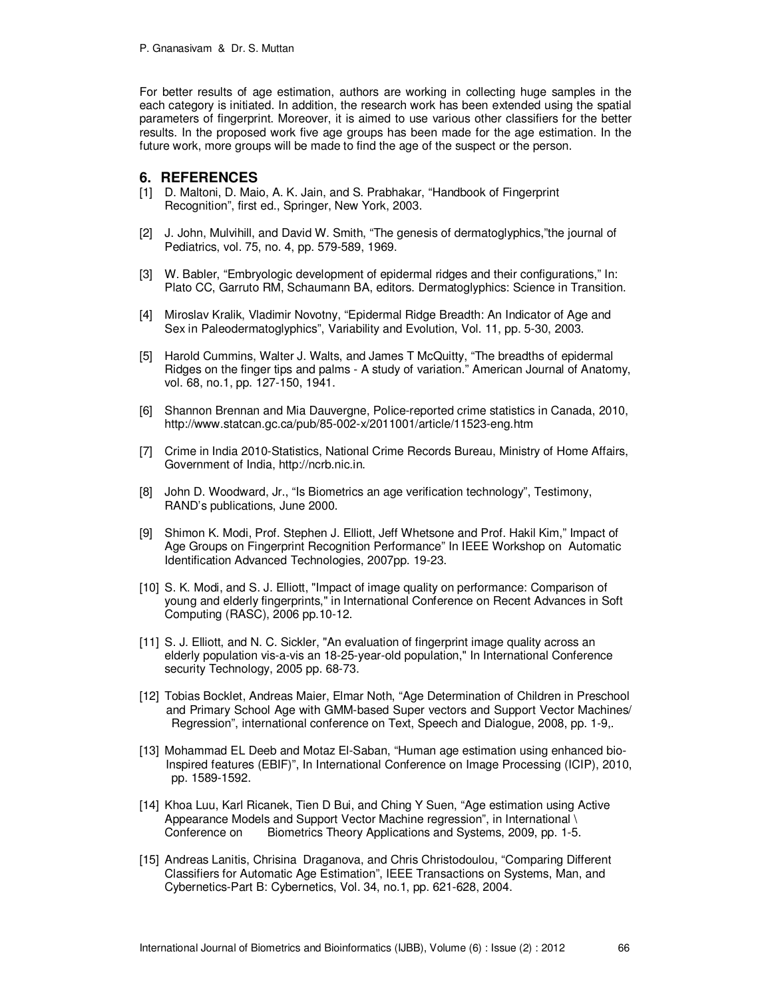For better results of age estimation, authors are working in collecting huge samples in the each category is initiated. In addition, the research work has been extended using the spatial parameters of fingerprint. Moreover, it is aimed to use various other classifiers for the better results. In the proposed work five age groups has been made for the age estimation. In the future work, more groups will be made to find the age of the suspect or the person.

#### **6. REFERENCES**

- [1] D. Maltoni, D. Maio, A. K. Jain, and S. Prabhakar, "Handbook of Fingerprint Recognition", first ed., Springer, New York, 2003.
- [2] J. John, Mulvihill, and David W. Smith, "The genesis of dermatoglyphics,"the journal of Pediatrics, vol. 75, no. 4, pp. 579-589, 1969.
- [3] W. Babler, "Embryologic development of epidermal ridges and their configurations," In: Plato CC, Garruto RM, Schaumann BA, editors. Dermatoglyphics: Science in Transition.
- [4] Miroslav Kralik, Vladimir Novotny, "Epidermal Ridge Breadth: An Indicator of Age and Sex in Paleodermatoglyphics", Variability and Evolution, Vol. 11, pp. 5-30, 2003.
- [5] Harold Cummins, Walter J. Walts, and James T McQuitty, "The breadths of epidermal Ridges on the finger tips and palms - A study of variation." American Journal of Anatomy, vol. 68, no.1, pp. 127-150, 1941.
- [6] Shannon Brennan and Mia Dauvergne, Police-reported crime statistics in Canada, 2010, http://www.statcan.gc.ca/pub/85-002-x/2011001/article/11523-eng.htm
- [7] Crime in India 2010-Statistics, National Crime Records Bureau, Ministry of Home Affairs, Government of India, http://ncrb.nic.in.
- [8] John D. Woodward, Jr., "Is Biometrics an age verification technology", Testimony, RAND's publications, June 2000.
- [9] Shimon K. Modi, Prof. Stephen J. Elliott, Jeff Whetsone and Prof. Hakil Kim," Impact of Age Groups on Fingerprint Recognition Performance" In IEEE Workshop on Automatic Identification Advanced Technologies, 2007pp. 19-23.
- [10] S. K. Modi, and S. J. Elliott, "Impact of image quality on performance: Comparison of young and elderly fingerprints," in International Conference on Recent Advances in Soft Computing (RASC), 2006 pp.10-12.
- [11] S. J. Elliott, and N. C. Sickler, "An evaluation of fingerprint image quality across an elderly population vis-a-vis an 18-25-year-old population," In International Conference security Technology, 2005 pp. 68-73.
- [12] Tobias Bocklet, Andreas Maier, Elmar Noth, "Age Determination of Children in Preschool and Primary School Age with GMM-based Super vectors and Support Vector Machines/ Regression", international conference on Text, Speech and Dialogue, 2008, pp. 1-9,.
- [13] Mohammad EL Deeb and Motaz El-Saban, "Human age estimation using enhanced bio- Inspired features (EBIF)", In International Conference on Image Processing (ICIP), 2010, pp. 1589-1592.
- [14] Khoa Luu, Karl Ricanek, Tien D Bui, and Ching Y Suen, "Age estimation using Active Appearance Models and Support Vector Machine regression", in International \ Conference on Biometrics Theory Applications and Systems, 2009, pp. 1-5.
- [15] Andreas Lanitis, Chrisina Draganova, and Chris Christodoulou, "Comparing Different Classifiers for Automatic Age Estimation", IEEE Transactions on Systems, Man, and Cybernetics-Part B: Cybernetics, Vol. 34, no.1, pp. 621-628, 2004.